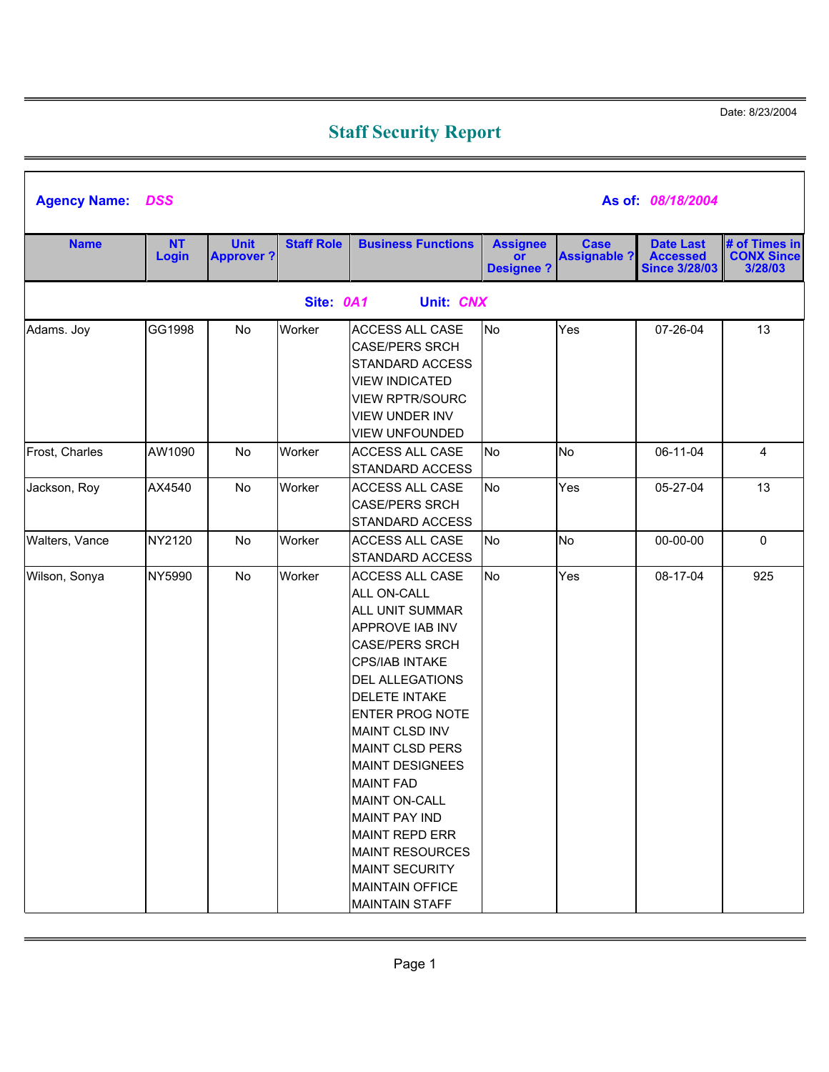## **Staff Security Report**

| <b>Agency Name: DSS</b> |                    |                                 |                   |                                                                                                                                                                                                                                                                                                                                                                                                                                                                                           | As of: 08/18/2004                                |                                    |                                                             |                                               |  |  |  |  |  |
|-------------------------|--------------------|---------------------------------|-------------------|-------------------------------------------------------------------------------------------------------------------------------------------------------------------------------------------------------------------------------------------------------------------------------------------------------------------------------------------------------------------------------------------------------------------------------------------------------------------------------------------|--------------------------------------------------|------------------------------------|-------------------------------------------------------------|-----------------------------------------------|--|--|--|--|--|
| <b>Name</b>             | <b>NT</b><br>Login | <b>Unit</b><br><b>Approver?</b> | <b>Staff Role</b> | <b>Business Functions</b>                                                                                                                                                                                                                                                                                                                                                                                                                                                                 | <b>Assignee</b><br><b>or</b><br><b>Designee?</b> | <b>Case</b><br><b>Assignable ?</b> | <b>Date Last</b><br><b>Accessed</b><br><b>Since 3/28/03</b> | # of Times in<br><b>CONX Since</b><br>3/28/03 |  |  |  |  |  |
| Site: 0A1<br>Unit: CNX  |                    |                                 |                   |                                                                                                                                                                                                                                                                                                                                                                                                                                                                                           |                                                  |                                    |                                                             |                                               |  |  |  |  |  |
| Adams. Joy              | GG1998             | No                              | Worker            | <b>ACCESS ALL CASE</b><br><b>CASE/PERS SRCH</b><br><b>STANDARD ACCESS</b><br><b>VIEW INDICATED</b><br><b>VIEW RPTR/SOURC</b><br><b>VIEW UNDER INV</b><br><b>VIEW UNFOUNDED</b>                                                                                                                                                                                                                                                                                                            | <b>No</b>                                        | Yes                                | 07-26-04                                                    | 13                                            |  |  |  |  |  |
| Frost, Charles          | AW1090             | No                              | Worker            | <b>ACCESS ALL CASE</b><br><b>STANDARD ACCESS</b>                                                                                                                                                                                                                                                                                                                                                                                                                                          | No                                               | <b>No</b>                          | 06-11-04                                                    | $\overline{4}$                                |  |  |  |  |  |
| Jackson, Roy            | AX4540             | No                              | Worker            | <b>ACCESS ALL CASE</b><br><b>CASE/PERS SRCH</b><br><b>STANDARD ACCESS</b>                                                                                                                                                                                                                                                                                                                                                                                                                 | <b>No</b>                                        | Yes                                | 05-27-04                                                    | 13                                            |  |  |  |  |  |
| Walters, Vance          | NY2120             | No                              | Worker            | <b>ACCESS ALL CASE</b><br><b>STANDARD ACCESS</b>                                                                                                                                                                                                                                                                                                                                                                                                                                          | <b>No</b>                                        | <b>No</b>                          | 00-00-00                                                    | $\mathbf 0$                                   |  |  |  |  |  |
| Wilson, Sonya           | NY5990             | No                              | Worker            | <b>ACCESS ALL CASE</b><br>ALL ON-CALL<br>ALL UNIT SUMMAR<br><b>APPROVE IAB INV</b><br><b>CASE/PERS SRCH</b><br><b>CPS/IAB INTAKE</b><br><b>DEL ALLEGATIONS</b><br><b>DELETE INTAKE</b><br><b>ENTER PROG NOTE</b><br>MAINT CLSD INV<br><b>MAINT CLSD PERS</b><br><b>MAINT DESIGNEES</b><br><b>MAINT FAD</b><br><b>MAINT ON-CALL</b><br><b>MAINT PAY IND</b><br><b>MAINT REPD ERR</b><br><b>MAINT RESOURCES</b><br><b>MAINT SECURITY</b><br><b>MAINTAIN OFFICE</b><br><b>MAINTAIN STAFF</b> | No                                               | Yes                                | 08-17-04                                                    | 925                                           |  |  |  |  |  |